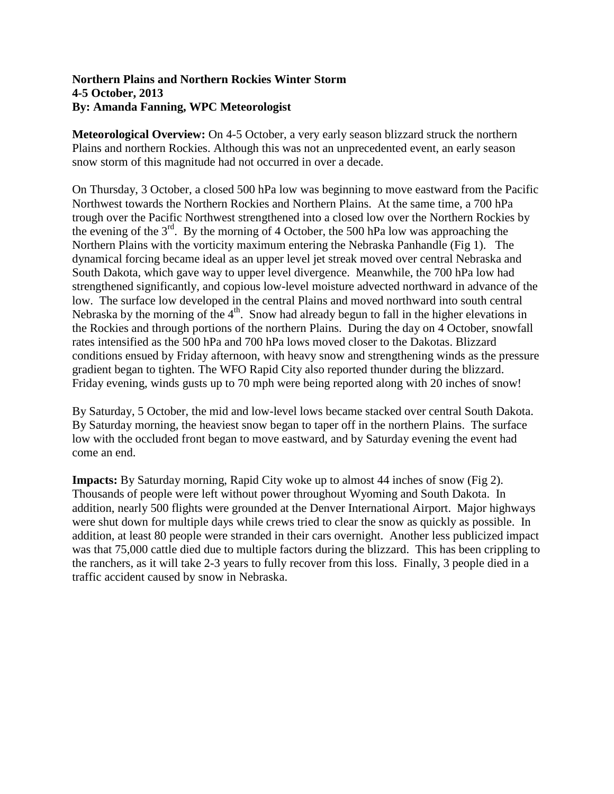## **Northern Plains and Northern Rockies Winter Storm 4-5 October, 2013 By: Amanda Fanning, WPC Meteorologist**

**Meteorological Overview:** On 4-5 October, a very early season blizzard struck the northern Plains and northern Rockies. Although this was not an unprecedented event, an early season snow storm of this magnitude had not occurred in over a decade.

On Thursday, 3 October, a closed 500 hPa low was beginning to move eastward from the Pacific Northwest towards the Northern Rockies and Northern Plains. At the same time, a 700 hPa trough over the Pacific Northwest strengthened into a closed low over the Northern Rockies by the evening of the 3rd. By the morning of 4 October, the 500 hPa low was approaching the Northern Plains with the vorticity maximum entering the Nebraska Panhandle (Fig 1). The dynamical forcing became ideal as an upper level jet streak moved over central Nebraska and South Dakota, which gave way to upper level divergence. Meanwhile, the 700 hPa low had strengthened significantly, and copious low-level moisture advected northward in advance of the low. The surface low developed in the central Plains and moved northward into south central Nebraska by the morning of the  $4<sup>th</sup>$ . Snow had already begun to fall in the higher elevations in the Rockies and through portions of the northern Plains. During the day on 4 October, snowfall rates intensified as the 500 hPa and 700 hPa lows moved closer to the Dakotas. Blizzard conditions ensued by Friday afternoon, with heavy snow and strengthening winds as the pressure gradient began to tighten. The WFO Rapid City also reported thunder during the blizzard. Friday evening, winds gusts up to 70 mph were being reported along with 20 inches of snow!

By Saturday, 5 October, the mid and low-level lows became stacked over central South Dakota. By Saturday morning, the heaviest snow began to taper off in the northern Plains. The surface low with the occluded front began to move eastward, and by Saturday evening the event had come an end.

**Impacts:** By Saturday morning, Rapid City woke up to almost 44 inches of snow (Fig 2). Thousands of people were left without power throughout Wyoming and South Dakota. In addition, nearly 500 flights were grounded at the Denver International Airport. Major highways were shut down for multiple days while crews tried to clear the snow as quickly as possible. In addition, at least 80 people were stranded in their cars overnight. Another less publicized impact was that 75,000 cattle died due to multiple factors during the blizzard. This has been crippling to the ranchers, as it will take 2-3 years to fully recover from this loss. Finally, 3 people died in a traffic accident caused by snow in Nebraska.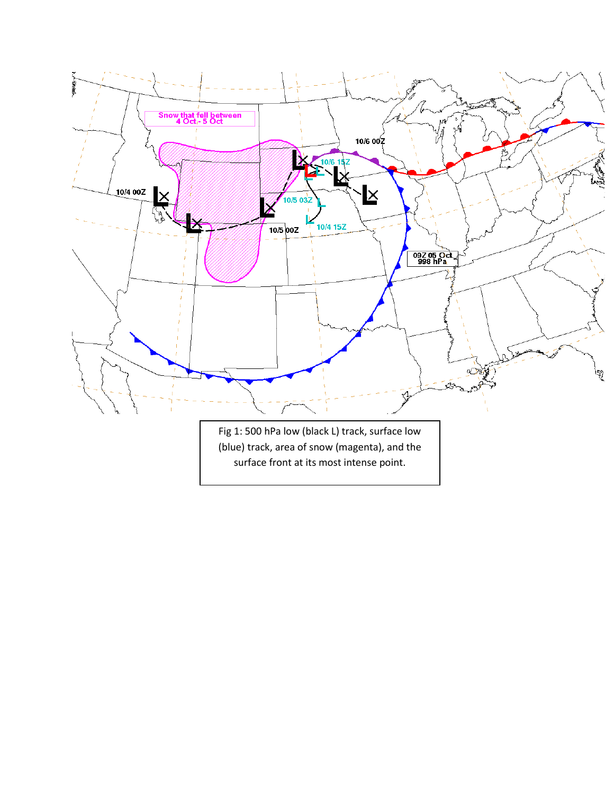

surface front at its most intense point.